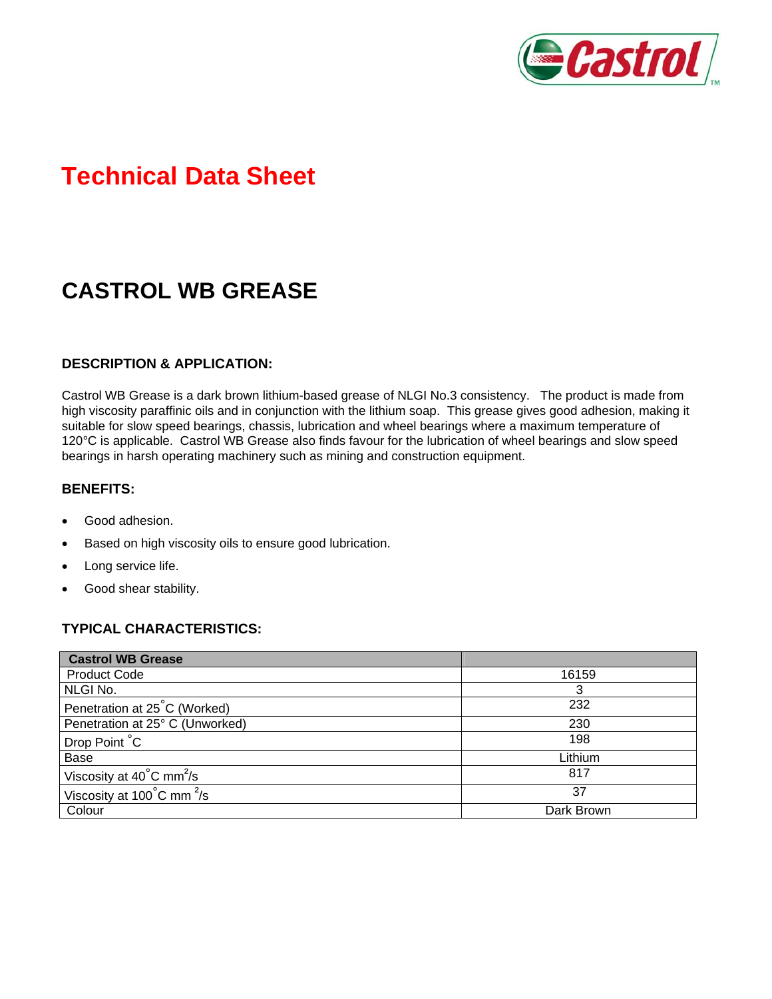

# **Technical Data Sheet**

## **CASTROL WB GREASE**

## **DESCRIPTION & APPLICATION:**

Castrol WB Grease is a dark brown lithium-based grease of NLGI No.3 consistency. The product is made from high viscosity paraffinic oils and in conjunction with the lithium soap. This grease gives good adhesion, making it suitable for slow speed bearings, chassis, lubrication and wheel bearings where a maximum temperature of 120°C is applicable. Castrol WB Grease also finds favour for the lubrication of wheel bearings and slow speed bearings in harsh operating machinery such as mining and construction equipment.

#### **BENEFITS:**

- Good adhesion.
- Based on high viscosity oils to ensure good lubrication.
- Long service life.
- Good shear stability.

## **TYPICAL CHARACTERISTICS:**

| <b>Castrol WB Grease</b>                       |            |
|------------------------------------------------|------------|
| <b>Product Code</b>                            | 16159      |
| NLGI No.                                       |            |
| Penetration at 25°C (Worked)                   | 232        |
| Penetration at 25° C (Unworked)                | 230        |
| Drop Point °C                                  | 198        |
| Base                                           | Lithium    |
| Viscosity at $40^{\circ}$ C mm <sup>2</sup> /s | 817        |
| Viscosity at 100°C mm <sup>2</sup> /s          | 37         |
| Colour                                         | Dark Brown |